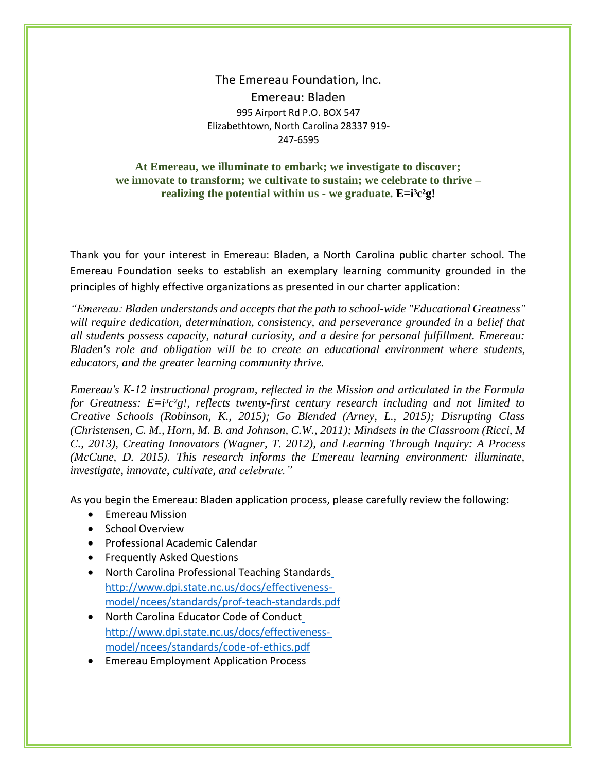The Emereau Foundation, Inc. Emereau: Bladen 995 Airport Rd P.O. BOX 547 Elizabethtown, North Carolina 28337 919- 247-6595

## **At Emereau, we illuminate to embark; we investigate to discover; we innovate to transform; we cultivate to sustain; we celebrate to thrive – realizing the potential within us - we graduate. E=i³c²g!**

Thank you for your interest in Emereau: Bladen, a North Carolina public charter school. The Emereau Foundation seeks to establish an exemplary learning community grounded in the principles of highly effective organizations as presented in our charter application:

*"Emereau: Bladen understands and accepts that the path to school-wide "Educational Greatness" will require dedication, determination, consistency, and perseverance grounded in a belief that all students possess capacity, natural curiosity, and a desire for personal fulfillment. Emereau: Bladen's role and obligation will be to create an educational environment where students, educators, and the greater learning community thrive.*

*Emereau's K-12 instructional program, reflected in the Mission and articulated in the Formula for Greatness: E=i³c²g!, reflects twenty-first century research including and not limited to Creative Schools (Robinson, K., 2015); Go Blended (Arney, L., 2015); Disrupting Class (Christensen, C. M., Horn, M. B. and Johnson, C.W., 2011); Mindsets in the Classroom (Ricci, M C., 2013), Creating Innovators (Wagner, T. 2012), and Learning Through Inquiry: A Process (McCune, D. 2015). This research informs the Emereau learning environment: illuminate, investigate, innovate, cultivate, and celebrate."*

As you begin the Emereau: Bladen application process, please carefully review the following:

- Emereau Mission
- School Overview
- Professional Academic Calendar
- Frequently Asked Questions
- North Carolina Professional Teaching Standard[s](http://www.dpi.state.nc.us/docs/effectiveness-model/ncees/standards/prof-teach-standards.pdf) [http://www.dpi.state.nc.us/docs/effectiveness](http://www.dpi.state.nc.us/docs/effectiveness-model/ncees/standards/prof-teach-standards.pdf)[model/ncees/standards/prof-teach-standards.pdf](http://www.dpi.state.nc.us/docs/effectiveness-model/ncees/standards/prof-teach-standards.pdf)
- North Carolina Educator Code of Conduc[t](http://www.dpi.state.nc.us/docs/effectiveness-model/ncees/standards/code-of-ethics.pdf) [http://www.dpi.state.nc.us/docs/effectiveness](http://www.dpi.state.nc.us/docs/effectiveness-model/ncees/standards/code-of-ethics.pdf)[model/ncees/standards/code-of-ethics.pdf](http://www.dpi.state.nc.us/docs/effectiveness-model/ncees/standards/code-of-ethics.pdf)
- Emereau Employment Application Process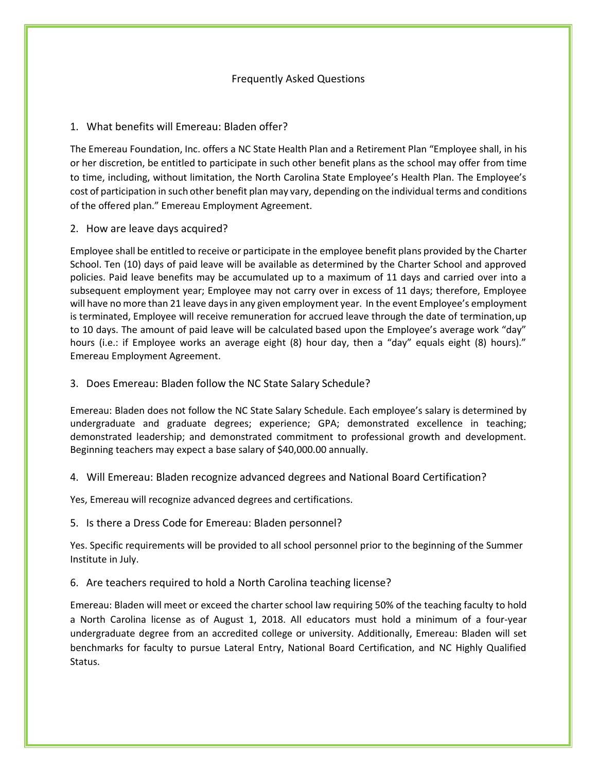### Frequently Asked Questions

#### 1. What benefits will Emereau: Bladen offer?

The Emereau Foundation, Inc. offers a NC State Health Plan and a Retirement Plan "Employee shall, in his or her discretion, be entitled to participate in such other benefit plans as the school may offer from time to time, including, without limitation, the North Carolina State Employee's Health Plan. The Employee's cost of participation in such other benefit plan may vary, depending on the individual terms and conditions of the offered plan." Emereau Employment Agreement.

2. How are leave days acquired?

Employee shall be entitled to receive or participate in the employee benefit plans provided by the Charter School. Ten (10) days of paid leave will be available as determined by the Charter School and approved policies. Paid leave benefits may be accumulated up to a maximum of 11 days and carried over into a subsequent employment year; Employee may not carry over in excess of 11 days; therefore, Employee will have no more than 21 leave daysin any given employment year. In the event Employee's employment is terminated, Employee will receive remuneration for accrued leave through the date of termination,up to 10 days. The amount of paid leave will be calculated based upon the Employee's average work "day" hours (i.e.: if Employee works an average eight (8) hour day, then a "day" equals eight (8) hours)." Emereau Employment Agreement.

3. Does Emereau: Bladen follow the NC State Salary Schedule?

Emereau: Bladen does not follow the NC State Salary Schedule. Each employee's salary is determined by undergraduate and graduate degrees; experience; GPA; demonstrated excellence in teaching; demonstrated leadership; and demonstrated commitment to professional growth and development. Beginning teachers may expect a base salary of \$40,000.00 annually.

### 4. Will Emereau: Bladen recognize advanced degrees and National Board Certification?

Yes, Emereau will recognize advanced degrees and certifications.

5. Is there a Dress Code for Emereau: Bladen personnel?

Yes. Specific requirements will be provided to all school personnel prior to the beginning of the Summer Institute in July.

6. Are teachers required to hold a North Carolina teaching license?

Emereau: Bladen will meet or exceed the charter school law requiring 50% of the teaching faculty to hold a North Carolina license as of August 1, 2018. All educators must hold a minimum of a four-year undergraduate degree from an accredited college or university. Additionally, Emereau: Bladen will set benchmarks for faculty to pursue Lateral Entry, National Board Certification, and NC Highly Qualified Status.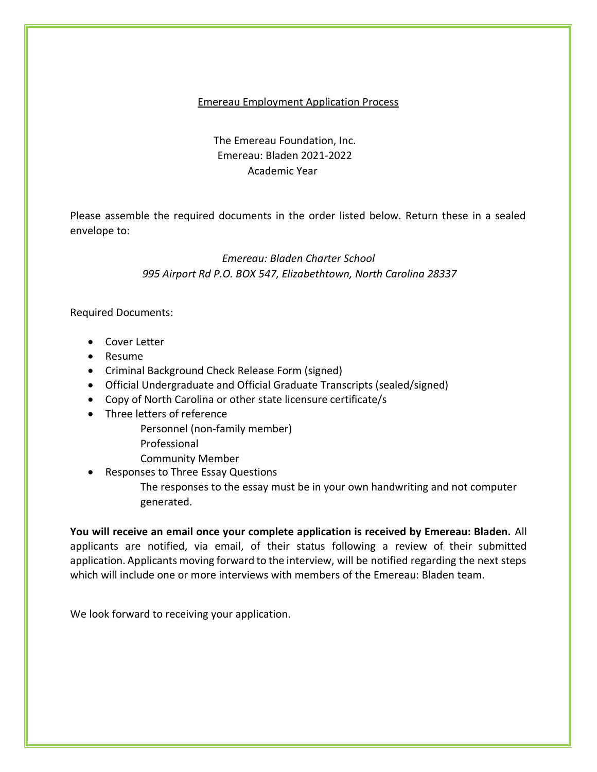## Emereau Employment Application Process

# The Emereau Foundation, Inc. Emereau: Bladen 2021-2022 Academic Year

Please assemble the required documents in the order listed below. Return these in a sealed envelope to:

# *Emereau: Bladen Charter School 995 Airport Rd P.O. BOX 547, Elizabethtown, North Carolina 28337*

Required Documents:

- Cover Letter
- Resume
- Criminal Background Check Release Form (signed)
- Official Undergraduate and Official Graduate Transcripts (sealed/signed)
- Copy of North Carolina or other state licensure certificate/s
- Three letters of reference
	- Personnel (non-family member)
	- Professional
	- Community Member
- Responses to Three Essay Questions
	- The responses to the essay must be in your own handwriting and not computer generated.

**You will receive an email once your complete application is received by Emereau: Bladen.** All applicants are notified, via email, of their status following a review of their submitted application. Applicants moving forward to the interview, will be notified regarding the next steps which will include one or more interviews with members of the Emereau: Bladen team.

We look forward to receiving your application.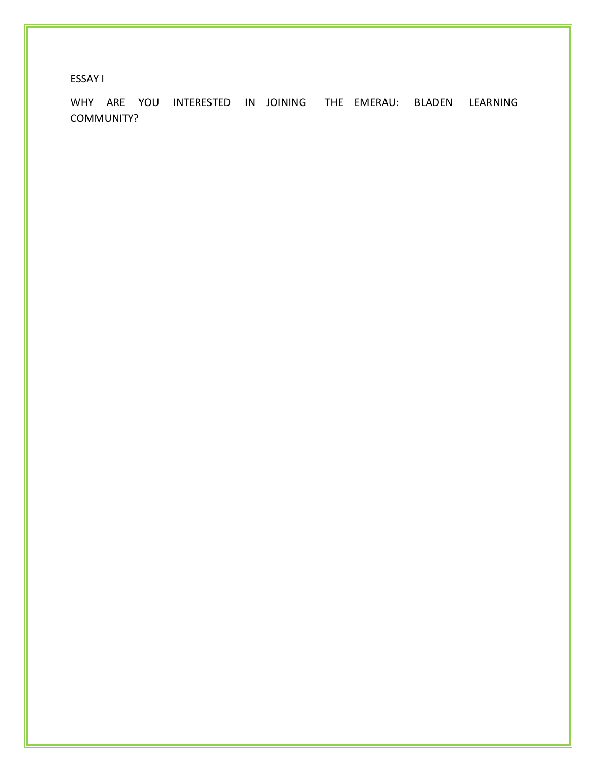ESSAY I

WHY ARE YOU INTERESTED IN JOINING THE EMERAU: BLADEN LEARNING COMMUNITY?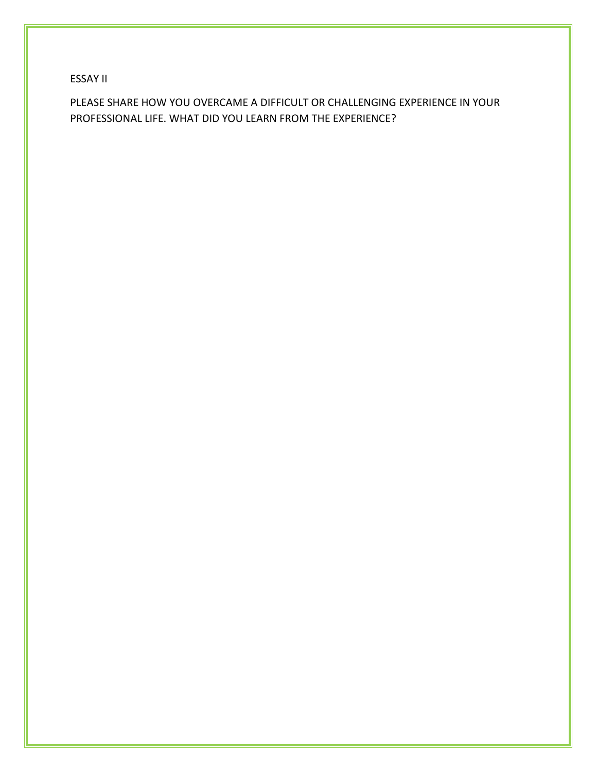ESSAY II

PLEASE SHARE HOW YOU OVERCAME A DIFFICULT OR CHALLENGING EXPERIENCE IN YOUR PROFESSIONAL LIFE. WHAT DID YOU LEARN FROM THE EXPERIENCE?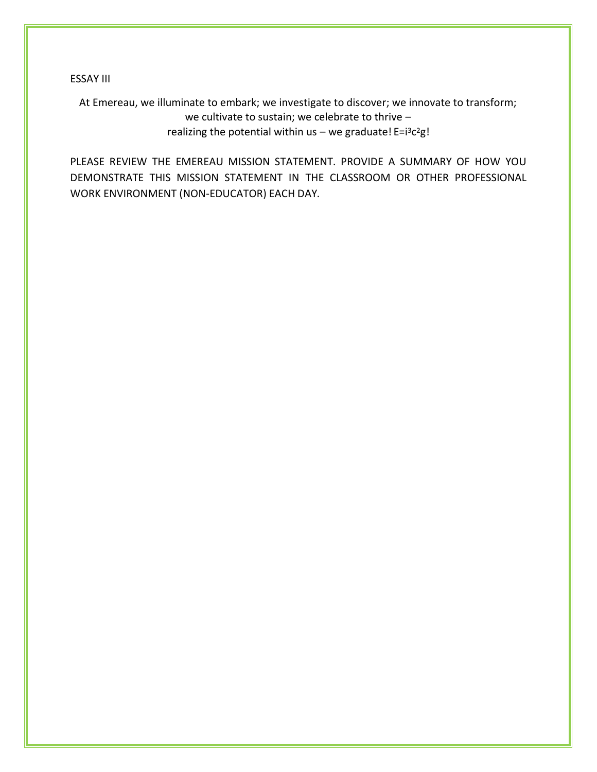ESSAY III

At Emereau, we illuminate to embark; we investigate to discover; we innovate to transform; we cultivate to sustain; we celebrate to thrive – realizing the potential within us - we graduate! E=i<sup>3</sup>c<sup>2</sup>g!

PLEASE REVIEW THE EMEREAU MISSION STATEMENT. PROVIDE A SUMMARY OF HOW YOU DEMONSTRATE THIS MISSION STATEMENT IN THE CLASSROOM OR OTHER PROFESSIONAL WORK ENVIRONMENT (NON-EDUCATOR) EACH DAY.